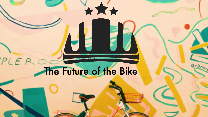# PLE ROOM THE Future of the Bike

JE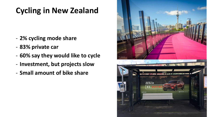# **Cycling in New Zealand**

- **2% cycling mode share**
- **83% private car**
- **60% say they would like to cycle**
- **Investment, but projects slow**
- **Small amount of bike share**

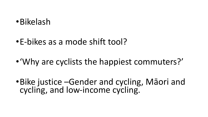## •Bikelash

# •E-bikes as a mode shift tool?

# •'Why are cyclists the happiest commuters?'

•Bike justice –Gender and cycling, Māori and cycling, and low-income cycling.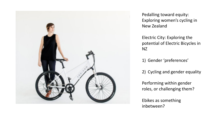

Pedalling toward equity: Exploring women's cycling in New Zealand

Electric City: Exploring the potential of Electric Bicycles in NZ

1) Gender 'preferences'

2) Cycling and gender equality

Performing within gender roles, or challenging them?

Ebikes as something inbetween?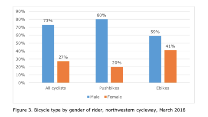

Figure 3. Bicycle type by gender of rider, northwestern cycleway, March 2018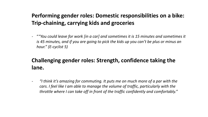### **Performing gender roles: Domestic responsibilities on a bike: Trip-chaining, carrying kids and groceries**

- "*"You could leave for work [in a car] and sometimes it is 15 minutes and sometimes it is 45 minutes, and if you are going to pick the kids up you can't be plus or minus an hour." (E-cyclist 5)*

## **Challenging gender roles: Strength, confidence taking the lane.**

- *"I think it's amazing for commuting. It puts me on much more of a par with the cars. I feel like I am able to manage the volume of traffic, particularly with the throttle where I can take off in front of the traffic confidently and comfortably."*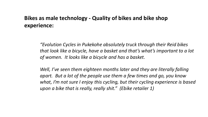#### **Bikes as male technology - Quality of bikes and bike shop experience:**

*"Evolution Cycles in Pukekohe absolutely truck through their Reid bikes that look like a bicycle, have a basket and that's what's important to a lot of women. It looks like a bicycle and has a basket.* 

*Well, I've seen them eighteen months later and they are literally falling apart. But a lot of the people use them a few times and go, you know what, I'm not sure I enjoy this cycling, but their cycling experience is based upon a bike that is really, really shit." (Ebike retailer 1)*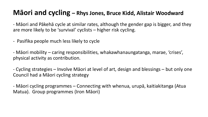## **Māori and cycling – Rhys Jones, Bruce Kidd, Alistair Woodward**

- Māori and Pākehā cycle at similar rates, although the gender gap is bigger, and they are more likely to be 'survival' cyclists – higher risk cycling.

- Pasifika people much less likely to cycle

- Māori mobility – caring responsibilities, whakawhanaungatanga, marae, 'crises', physical activity as contribution.

- Cycling strategies – Involve Māori at level of art, design and blessings – but only one Council had a Māori cycling strategy

- Māori cycling programmes – Connecting with whenua, urupā, kaitiakitanga (Atua Matua). Group programmes (Iron Māori)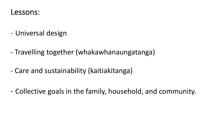

- Universal design
- Travelling together (whakawhanaungatanga)
- Care and sustainability (kaitiakitanga)

- Collective goals in the family, household, and community.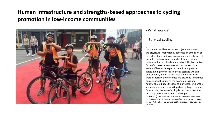### **Human infrastructure and strengths-based approaches to cycling promotion in low-income communities**



#### - What works?

#### - Survival cycling

"In the end, unlike most other objects we possess, the bicycle, for many riders, becomes an extension of the rider's body and, consequently, an intimate part of oneself. Just as a cane or a wheelchair provides assistance for the elderly and disabled, the bicycle is a form of assistance to movement for humans in a variety of less advantaged economic and physical states. Riding bicycles is, in effect, assisted walking. Consequently, when owners lose their bicycles to theft, especially [low-income] cyclists, they sometimes perceive it not simply as the economic loss of a neutral object but as the loss of a physical self. For the student commuter or working-class cycling commuter, for example, the loss of a bicycle can mean that, the next day, one cannot attend class or get to work." (p.133) Mirandé, A. and R.L. Williams, *Rascuache*

*cycling justice*, in *Bicycle justice and urban transformation biking for all?*, A. Golub, et al., Editors. 2016, Routledge: New York. p. 130-142.